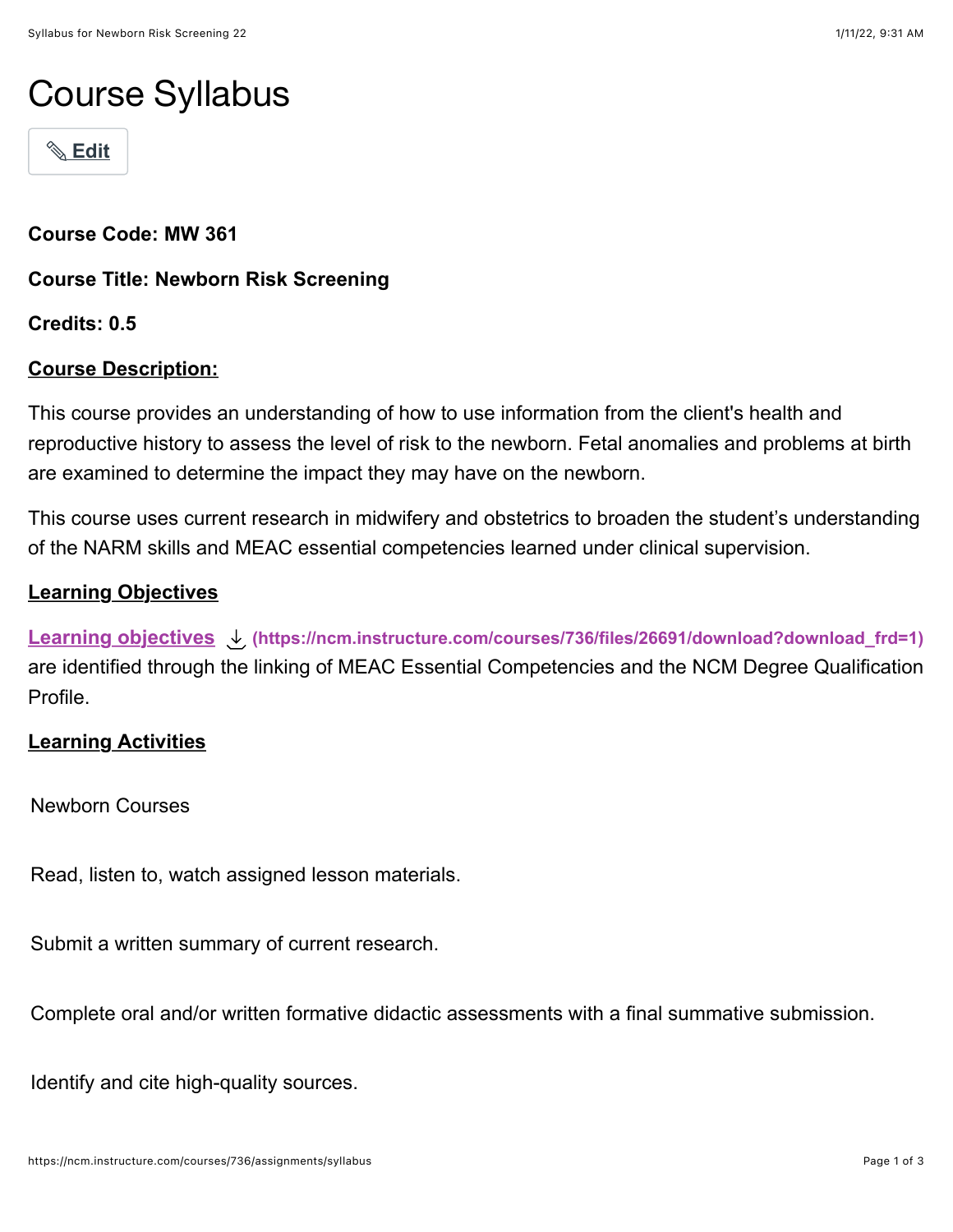# Course Syllabus

! **[Edit](https://ncm.instructure.com/courses/736/assignments/syllabus#)**

**Course Code: MW 361**

**Course Title: Newborn Risk Screening**

**Credits: 0.5**

# **Course Description:**

This course provides an understanding of how to use information from the client's health and reproductive history to assess the level of risk to the newborn. Fetal anomalies and problems at birth are examined to determine the impact they may have on the newborn.

This course uses current research in midwifery and obstetrics to broaden the student's understanding of the NARM skills and MEAC essential competencies learned under clinical supervision.

# **Learning Objectives**

**[Learning objectives](https://ncm.instructure.com/courses/736/files/26691/download?wrap=1) [\(https://ncm.instructure.com/courses/736/files/26691/download?download\\_frd=1\)](https://ncm.instructure.com/courses/736/files/26691/download?download_frd=1)** are identified through the linking of MEAC Essential Competencies and the NCM Degree Qualification Profile.

### **Learning Activities**

Newborn Courses

Read, listen to, watch assigned lesson materials.

Submit a written summary of current research.

Complete oral and/or written formative didactic assessments with a final summative submission.

Identify and cite high-quality sources.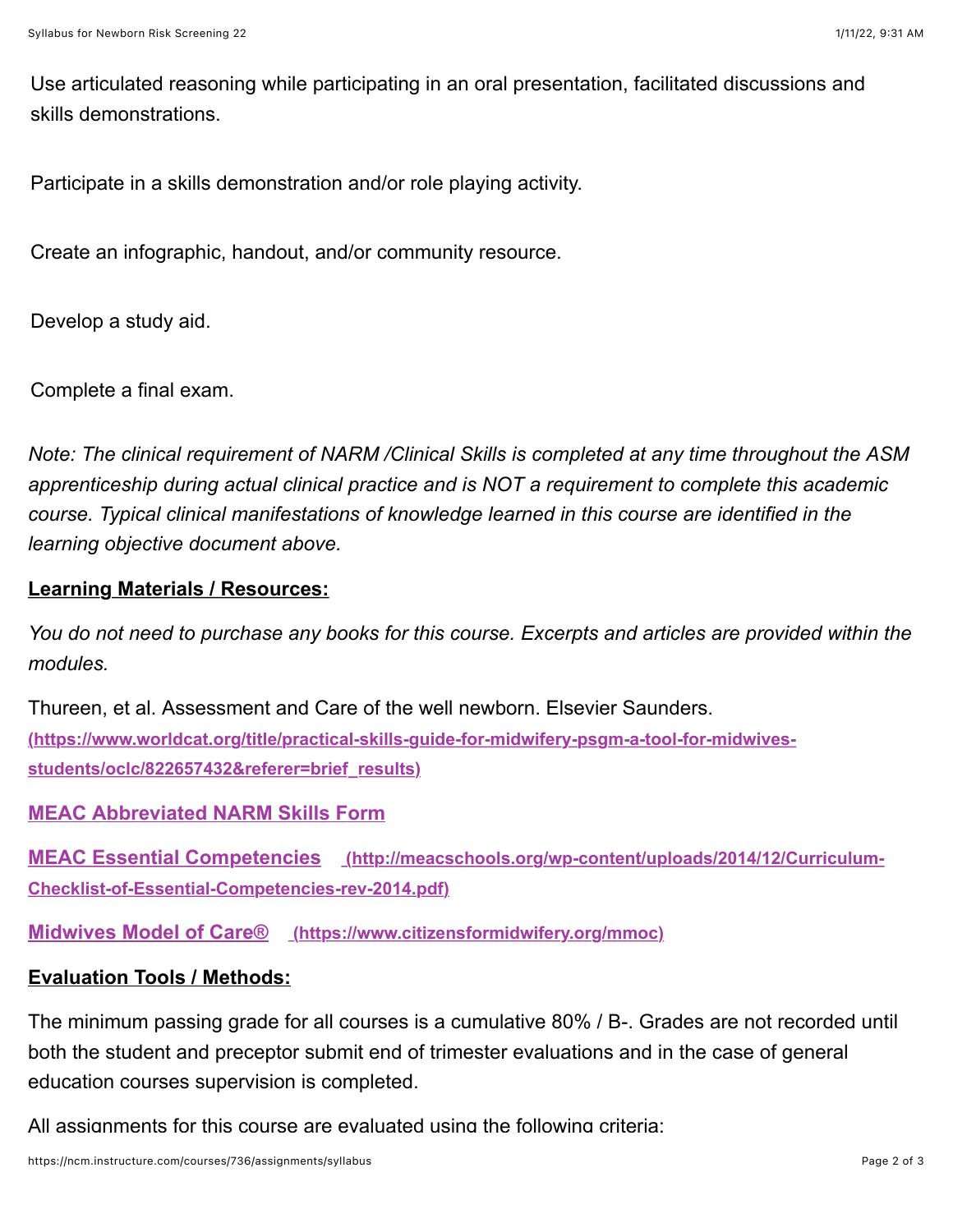Use articulated reasoning while participating in an oral presentation, facilitated discussions and skills demonstrations.

Participate in a skills demonstration and/or role playing activity.

Create an infographic, handout, and/or community resource.

Develop a study aid.

Complete a final exam.

*Note: The clinical requirement of NARM /Clinical Skills is completed at any time throughout the ASM apprenticeship during actual clinical practice and is NOT a requirement to complete this academic course. Typical clinical manifestations of knowledge learned in this course are identified in the learning objective document above.*

# **Learning Materials / Resources:**

*You do not need to purchase any books for this course. Excerpts and articles are provided within the modules.*

[Thureen, et al. Assessment and Care of the well newborn. Elsevier Saunders.](https://www.worldcat.org/title/practical-skills-guide-for-midwifery-psgm-a-tool-for-midwives-students/oclc/822657432&referer=brief_results) **(https://www.worldcat.org/title/practical-skills-guide-for-midwifery-psgm-a-tool-for-midwivesstudents/oclc/822657432&referer=brief\_results)**

### **[MEAC Abbreviated NARM Skills Form](https://ncm.instructure.com/courses/407/pages/narm-clinical-skills-and-meac-abbreviated-skills?module_item_id=64793)**

**MEAC Essential Competencies** (http://meacschools.org/wp-content/uploads/2014/12/Curriculum-**Checklist-of-Essential-Competencies-rev-2014.pdf)**

**[Midwives Model of Care® \(https://www.citizensformidwifery.org/mmoc\)](https://www.citizensformidwifery.org/mmoc)**

### **Evaluation Tools / Methods:**

The minimum passing grade for all courses is a cumulative 80% / B-. Grades are not recorded until both the student and preceptor submit end of trimester evaluations and in the case of general education courses supervision is completed.

All assignments for this course are evaluated using the following criteria: